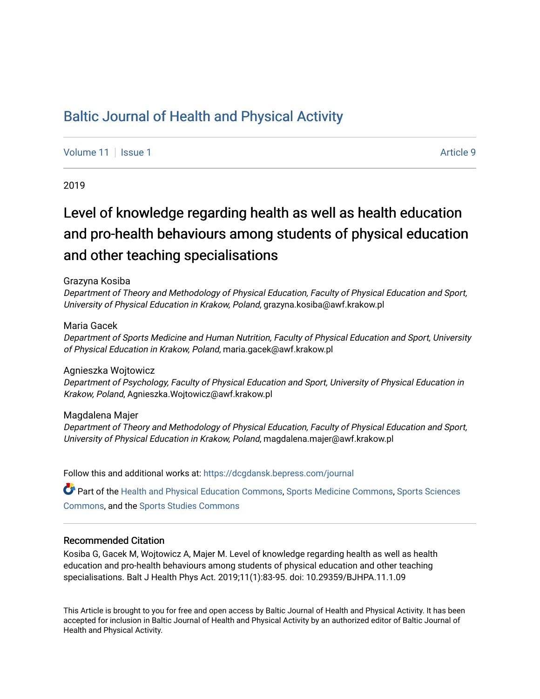# [Baltic Journal of Health and Physical Activity](https://dcgdansk.bepress.com/journal)

[Volume 11](https://dcgdansk.bepress.com/journal/vol11) | [Issue 1](https://dcgdansk.bepress.com/journal/vol11/iss1) Article 9

2019

# Level of knowledge regarding health as well as health education and pro-health behaviours among students of physical education and other teaching specialisations

#### Grazyna Kosiba

Department of Theory and Methodology of Physical Education, Faculty of Physical Education and Sport, University of Physical Education in Krakow, Poland, grazyna.kosiba@awf.krakow.pl

### Maria Gacek

Department of Sports Medicine and Human Nutrition, Faculty of Physical Education and Sport, University of Physical Education in Krakow, Poland, maria.gacek@awf.krakow.pl

#### Agnieszka Wojtowicz

Department of Psychology, Faculty of Physical Education and Sport, University of Physical Education in Krakow, Poland, Agnieszka.Wojtowicz@awf.krakow.pl

#### Magdalena Majer

Department of Theory and Methodology of Physical Education, Faculty of Physical Education and Sport, University of Physical Education in Krakow, Poland, magdalena.majer@awf.krakow.pl

Follow this and additional works at: [https://dcgdansk.bepress.com/journal](https://dcgdansk.bepress.com/journal?utm_source=dcgdansk.bepress.com%2Fjournal%2Fvol11%2Fiss1%2F9&utm_medium=PDF&utm_campaign=PDFCoverPages)

Part of the [Health and Physical Education Commons](http://network.bepress.com/hgg/discipline/1327?utm_source=dcgdansk.bepress.com%2Fjournal%2Fvol11%2Fiss1%2F9&utm_medium=PDF&utm_campaign=PDFCoverPages), [Sports Medicine Commons,](http://network.bepress.com/hgg/discipline/1331?utm_source=dcgdansk.bepress.com%2Fjournal%2Fvol11%2Fiss1%2F9&utm_medium=PDF&utm_campaign=PDFCoverPages) [Sports Sciences](http://network.bepress.com/hgg/discipline/759?utm_source=dcgdansk.bepress.com%2Fjournal%2Fvol11%2Fiss1%2F9&utm_medium=PDF&utm_campaign=PDFCoverPages) [Commons](http://network.bepress.com/hgg/discipline/759?utm_source=dcgdansk.bepress.com%2Fjournal%2Fvol11%2Fiss1%2F9&utm_medium=PDF&utm_campaign=PDFCoverPages), and the [Sports Studies Commons](http://network.bepress.com/hgg/discipline/1198?utm_source=dcgdansk.bepress.com%2Fjournal%2Fvol11%2Fiss1%2F9&utm_medium=PDF&utm_campaign=PDFCoverPages) 

#### Recommended Citation

Kosiba G, Gacek M, Wojtowicz A, Majer M. Level of knowledge regarding health as well as health education and pro-health behaviours among students of physical education and other teaching specialisations. Balt J Health Phys Act. 2019;11(1):83-95. doi: 10.29359/BJHPA.11.1.09

This Article is brought to you for free and open access by Baltic Journal of Health and Physical Activity. It has been accepted for inclusion in Baltic Journal of Health and Physical Activity by an authorized editor of Baltic Journal of Health and Physical Activity.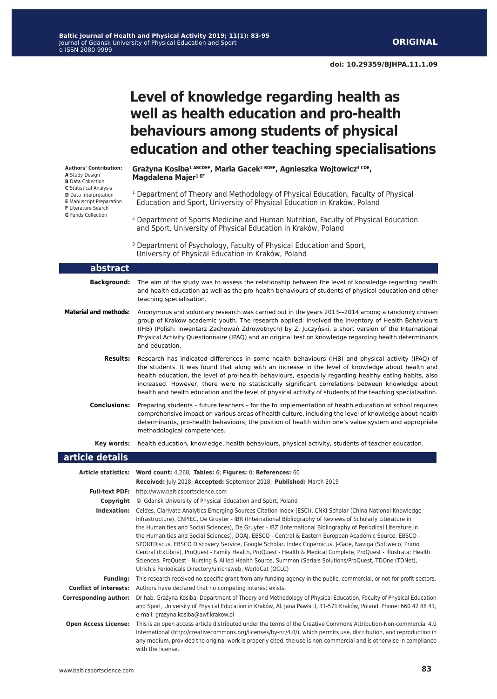**doi: 10.29359/BJHPA.11.1.09**

# **Level of knowledge regarding health as well as health education and pro-health behaviours among students of physical education and other teaching specialisations**

**Authors' Contribution: A** Study Design **B** Data Collection

- **C** Statistical Analysis
- **D** Data Interpretation
- **E** Manuscript Preparation
- **F** Literature Search
- **G** Funds Collection

Г

**Grażyna Kosiba1 ABCDEF, Maria Gacek2 BDEF, Agnieszka Wojtowicz3 CDE, Magdalena Majer1 EF**

- <sup>1</sup> Department of Theory and Methodology of Physical Education, Faculty of Physical Education and Sport, University of Physical Education in Kraków, Poland
- 2 Department of Sports Medicine and Human Nutrition, Faculty of Physical Education and Sport, University of Physical Education in Kraków, Poland
- <sup>3</sup> Department of Psychology, Faculty of Physical Education and Sport, University of Physical Education in Kraków, Poland

| abstract                     |                                                                                                                                                                                                                                                                                                                                                                                                                                                                                                                                                                                                                                                                                                                                                                                                                                                                                  |
|------------------------------|----------------------------------------------------------------------------------------------------------------------------------------------------------------------------------------------------------------------------------------------------------------------------------------------------------------------------------------------------------------------------------------------------------------------------------------------------------------------------------------------------------------------------------------------------------------------------------------------------------------------------------------------------------------------------------------------------------------------------------------------------------------------------------------------------------------------------------------------------------------------------------|
| <b>Background:</b>           | The aim of the study was to assess the relationship between the level of knowledge regarding health<br>and health education as well as the pro-health behaviours of students of physical education and other<br>teaching specialisation.                                                                                                                                                                                                                                                                                                                                                                                                                                                                                                                                                                                                                                         |
| <b>Material and methods:</b> | Anonymous and voluntary research was carried out in the years 2013--2014 among a randomly chosen<br>group of Krakow academic youth. The research applied: involved the Inventory of Health Behaviours<br>(IHB) (Polish: Inwentarz Zachowań Zdrowotnych) by Z. Juczyński, a short version of the International<br>Physical Activity Questionnaire (IPAQ) and an original test on knowledge regarding health determinants<br>and education.                                                                                                                                                                                                                                                                                                                                                                                                                                        |
| <b>Results:</b>              | Research has indicated differences in some health behaviours (IHB) and physical activity (IPAQ) of<br>the students. It was found that along with an increase in the level of knowledge about health and<br>health education, the level of pro-health behaviours, especially regarding healthy eating habits, also<br>increased. However, there were no statistically significant correlations between knowledge about<br>health and health education and the level of physical activity of students of the teaching specialisation.                                                                                                                                                                                                                                                                                                                                              |
| <b>Conclusions:</b>          | Preparing students - future teachers - for the to implementation of health education at school requires<br>comprehensive impact on various areas of health culture, including the level of knowledge about health<br>determinants, pro-health behaviours, the position of health within one's value system and appropriate<br>methodological competences.                                                                                                                                                                                                                                                                                                                                                                                                                                                                                                                        |
| Key words:                   | health education, knowledge, health behaviours, physical activity, students of teacher education.                                                                                                                                                                                                                                                                                                                                                                                                                                                                                                                                                                                                                                                                                                                                                                                |
| article details              |                                                                                                                                                                                                                                                                                                                                                                                                                                                                                                                                                                                                                                                                                                                                                                                                                                                                                  |
|                              | Article statistics: Word count: 4,268; Tables: 6; Figures: 0; References: 60                                                                                                                                                                                                                                                                                                                                                                                                                                                                                                                                                                                                                                                                                                                                                                                                     |
|                              | Received: July 2018; Accepted: September 2018; Published: March 2019                                                                                                                                                                                                                                                                                                                                                                                                                                                                                                                                                                                                                                                                                                                                                                                                             |
|                              | Full-text PDF: http://www.balticsportscience.com                                                                                                                                                                                                                                                                                                                                                                                                                                                                                                                                                                                                                                                                                                                                                                                                                                 |
|                              | <b>Copyright</b> © Gdansk University of Physical Education and Sport, Poland                                                                                                                                                                                                                                                                                                                                                                                                                                                                                                                                                                                                                                                                                                                                                                                                     |
|                              | <b>Indexation:</b> Celdes, Clarivate Analytics Emerging Sources Citation Index (ESCI), CNKI Scholar (China National Knowledge<br>Infrastructure), CNPIEC, De Gruyter - IBR (International Bibliography of Reviews of Scholarly Literature in<br>the Humanities and Social Sciences), De Gruyter - IBZ (International Bibliography of Periodical Literature in<br>the Humanities and Social Sciences), DOAJ, EBSCO - Central & Eastern European Academic Source, EBSCO -<br>SPORTDiscus, EBSCO Discovery Service, Google Scholar, Index Copernicus, J-Gate, Naviga (Softweco, Primo<br>Central (ExLibris), ProQuest - Family Health, ProQuest - Health & Medical Complete, ProQuest - Illustrata: Health<br>Sciences, ProQuest - Nursing & Allied Health Source, Summon (Serials Solutions/ProQuest, TDOne (TDNet),<br>Ulrich's Periodicals Directory/ulrichsweb, WorldCat (OCLC) |
| <b>Funding:</b>              | This research received no specific grant from any funding agency in the public, commercial, or not-for-profit sectors.                                                                                                                                                                                                                                                                                                                                                                                                                                                                                                                                                                                                                                                                                                                                                           |
|                              | <b>Conflict of interests:</b> Authors have declared that no competing interest exists.                                                                                                                                                                                                                                                                                                                                                                                                                                                                                                                                                                                                                                                                                                                                                                                           |
| <b>Corresponding author:</b> | Dr hab. Grażyna Kosiba; Department of Theory and Methodology of Physical Education, Faculty of Physical Education<br>and Sport, University of Physical Education in Kraków, Al. Jana Pawła II, 31-571 Kraków, Poland, Phone: 660 42 88 41,                                                                                                                                                                                                                                                                                                                                                                                                                                                                                                                                                                                                                                       |
|                              | e-mail: grazyna.kosiba@awf.krakow.pl                                                                                                                                                                                                                                                                                                                                                                                                                                                                                                                                                                                                                                                                                                                                                                                                                                             |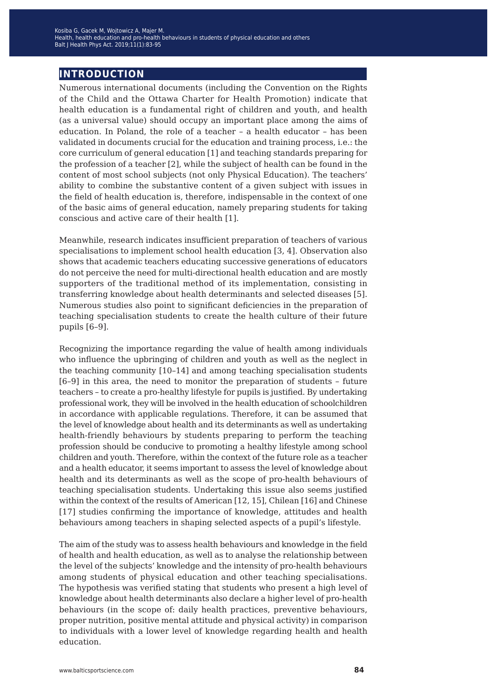## **introduction**

Numerous international documents (including the Convention on the Rights of the Child and the Ottawa Charter for Health Promotion) indicate that health education is a fundamental right of children and youth, and health (as a universal value) should occupy an important place among the aims of education. In Poland, the role of a teacher – a health educator – has been validated in documents crucial for the education and training process, i.e.: the core curriculum of general education [1] and teaching standards preparing for the profession of a teacher [2], while the subject of health can be found in the content of most school subjects (not only Physical Education). The teachers' ability to combine the substantive content of a given subject with issues in the field of health education is, therefore, indispensable in the context of one of the basic aims of general education, namely preparing students for taking conscious and active care of their health [1].

Meanwhile, research indicates insufficient preparation of teachers of various specialisations to implement school health education [3, 4]. Observation also shows that academic teachers educating successive generations of educators do not perceive the need for multi-directional health education and are mostly supporters of the traditional method of its implementation, consisting in transferring knowledge about health determinants and selected diseases [5]. Numerous studies also point to significant deficiencies in the preparation of teaching specialisation students to create the health culture of their future pupils [6–9].

Recognizing the importance regarding the value of health among individuals who influence the upbringing of children and youth as well as the neglect in the teaching community [10–14] and among teaching specialisation students [6–9] in this area, the need to monitor the preparation of students – future teachers – to create a pro-healthy lifestyle for pupils is justified. By undertaking professional work, they will be involved in the health education of schoolchildren in accordance with applicable regulations. Therefore, it can be assumed that the level of knowledge about health and its determinants as well as undertaking health-friendly behaviours by students preparing to perform the teaching profession should be conducive to promoting a healthy lifestyle among school children and youth. Therefore, within the context of the future role as a teacher and a health educator, it seems important to assess the level of knowledge about health and its determinants as well as the scope of pro-health behaviours of teaching specialisation students. Undertaking this issue also seems justified within the context of the results of American [12, 15], Chilean [16] and Chinese [17] studies confirming the importance of knowledge, attitudes and health behaviours among teachers in shaping selected aspects of a pupil's lifestyle.

The aim of the study was to assess health behaviours and knowledge in the field of health and health education, as well as to analyse the relationship between the level of the subjects' knowledge and the intensity of pro-health behaviours among students of physical education and other teaching specialisations. The hypothesis was verified stating that students who present a high level of knowledge about health determinants also declare a higher level of pro-health behaviours (in the scope of: daily health practices, preventive behaviours, proper nutrition, positive mental attitude and physical activity) in comparison to individuals with a lower level of knowledge regarding health and health education.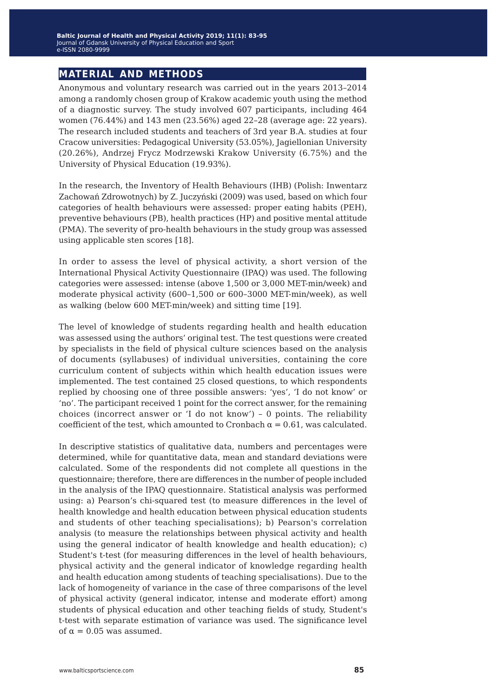## **material and methods**

Anonymous and voluntary research was carried out in the years 2013–2014 among a randomly chosen group of Krakow academic youth using the method of a diagnostic survey. The study involved 607 participants, including 464 women (76.44%) and 143 men (23.56%) aged 22–28 (average age: 22 years). The research included students and teachers of 3rd year B.A. studies at four Cracow universities: Pedagogical University (53.05%), Jagiellonian University (20.26%), Andrzej Frycz Modrzewski Krakow University (6.75%) and the University of Physical Education (19.93%).

In the research, the Inventory of Health Behaviours (IHB) (Polish: Inwentarz Zachowań Zdrowotnych) by Z. Juczyński (2009) was used, based on which four categories of health behaviours were assessed: proper eating habits (PEH), preventive behaviours (PB), health practices (HP) and positive mental attitude (PMA). The severity of pro-health behaviours in the study group was assessed using applicable sten scores [18].

In order to assess the level of physical activity, a short version of the International Physical Activity Questionnaire (IPAQ) was used. The following categories were assessed: intense (above 1,500 or 3,000 MET-min/week) and moderate physical activity (600–1,500 or 600–3000 MET-min/week), as well as walking (below 600 MET-min/week) and sitting time [19].

The level of knowledge of students regarding health and health education was assessed using the authors' original test. The test questions were created by specialists in the field of physical culture sciences based on the analysis of documents (syllabuses) of individual universities, containing the core curriculum content of subjects within which health education issues were implemented. The test contained 25 closed questions, to which respondents replied by choosing one of three possible answers: 'yes', 'I do not know' or 'no'. The participant received 1 point for the correct answer, for the remaining choices (incorrect answer or 'I do not know') – 0 points. The reliability coefficient of the test, which amounted to Cronbach  $\alpha = 0.61$ , was calculated.

In descriptive statistics of qualitative data, numbers and percentages were determined, while for quantitative data, mean and standard deviations were calculated. Some of the respondents did not complete all questions in the questionnaire; therefore, there are differences in the number of people included in the analysis of the IPAQ questionnaire. Statistical analysis was performed using: a) Pearson's chi-squared test (to measure differences in the level of health knowledge and health education between physical education students and students of other teaching specialisations); b) Pearson's correlation analysis (to measure the relationships between physical activity and health using the general indicator of health knowledge and health education); c) Student's t-test (for measuring differences in the level of health behaviours, physical activity and the general indicator of knowledge regarding health and health education among students of teaching specialisations). Due to the lack of homogeneity of variance in the case of three comparisons of the level of physical activity (general indicator, intense and moderate effort) among students of physical education and other teaching fields of study, Student's t-test with separate estimation of variance was used. The significance level of  $\alpha = 0.05$  was assumed.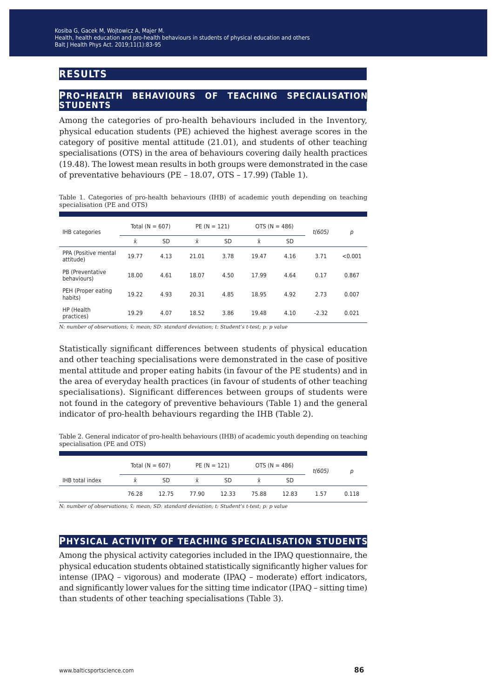# **results**

### **pro-health behaviours of teaching specialisation students**

Among the categories of pro-health behaviours included in the Inventory, physical education students (PE) achieved the highest average scores in the category of positive mental attitude (21.01), and students of other teaching specialisations (OTS) in the area of behaviours covering daily health practices (19.48). The lowest mean results in both groups were demonstrated in the case of preventative behaviours (PE – 18.07, OTS – 17.99) (Table 1).

Table 1. Categories of pro-health behaviours (IHB) of academic youth depending on teaching specialisation (PE and OTS)

| IHB categories                    | Total $(N = 607)$ |           | $PE (N = 121)$ |           | OTS ( $N = 486$ ) |           | t(605)  | p       |
|-----------------------------------|-------------------|-----------|----------------|-----------|-------------------|-----------|---------|---------|
|                                   | $\bar{x}$         | <b>SD</b> | Ÿ              | <b>SD</b> | Ÿ                 | <b>SD</b> |         |         |
| PPA (Positive mental<br>attitude) | 19.77             | 4.13      | 21.01          | 3.78      | 19.47             | 4.16      | 3.71    | < 0.001 |
| PB (Preventative<br>behaviours)   | 18.00             | 4.61      | 18.07          | 4.50      | 17.99             | 4.64      | 0.17    | 0.867   |
| PEH (Proper eating<br>habits)     | 19.22             | 4.93      | 20.31          | 4.85      | 18.95             | 4.92      | 2.73    | 0.007   |
| HP (Health<br>practices)          | 19.29             | 4.07      | 18.52          | 3.86      | 19.48             | 4.10      | $-2.32$ | 0.021   |

*N: number of observations;*  $\bar{x}$ *: mean; SD: standard deviation; t: Student's t-test; p: p value* 

Statistically significant differences between students of physical education and other teaching specialisations were demonstrated in the case of positive mental attitude and proper eating habits (in favour of the PE students) and in the area of everyday health practices (in favour of students of other teaching specialisations). Significant differences between groups of students were not found in the category of preventive behaviours (Table 1) and the general indicator of pro-health behaviours regarding the IHB (Table 2).

Table 2. General indicator of pro-health behaviours (IHB) of academic youth depending on teaching specialisation (PE and OTS)

|                        | Total ( $N = 607$ ) |       |          | $PE (N = 121)$ | OTS ( $N = 486$ ) |       | t(605) |       |
|------------------------|---------------------|-------|----------|----------------|-------------------|-------|--------|-------|
| <b>IHB</b> total index | <b>X</b>            | SD    | <b>X</b> | SD             | <b>X</b>          | SD    |        |       |
|                        | 76.28               | 12.75 | 77.90    | 12.33          | 75.88             | 12.83 | 1.57   | 0.118 |

*N: number of observations;*  $\bar{x}$ *: mean; SD: standard deviation; t: Student's t-test; p: p value* 

### **physical activity of teaching specialisation students**

Among the physical activity categories included in the IPAQ questionnaire, the physical education students obtained statistically significantly higher values for intense (IPAQ – vigorous) and moderate (IPAQ – moderate) effort indicators, and significantly lower values for the sitting time indicator (IPAQ – sitting time) than students of other teaching specialisations (Table 3).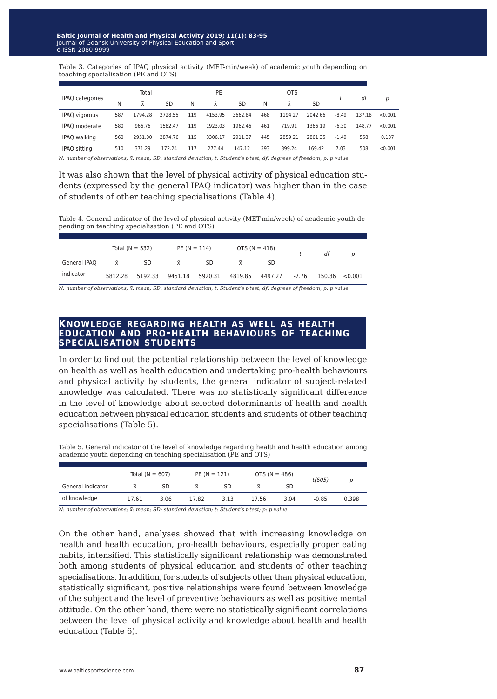Table 3. Categories of IPAQ physical activity (MET-min/week) of academic youth depending on teaching specialisation (PE and OTS)

| Total |                |           | PE  |         |         | <b>OTS</b> |          |         |         |        |         |
|-------|----------------|-----------|-----|---------|---------|------------|----------|---------|---------|--------|---------|
| Ν     | $\overline{x}$ | <b>SD</b> | Ν   | Ÿ.      | SD      | N          | <b>x</b> | SD      |         |        | p       |
| 587   | 1794.28        | 2728.55   | 119 | 4153.95 | 3662.84 | 468        | 1194.27  | 2042.66 | $-8.49$ | 137.18 | < 0.001 |
| 580   | 966.76         | 1582.47   | 119 | 1923.03 | 1962.46 | 461        | 719.91   | 1366.19 | $-6.30$ | 148.77 | < 0.001 |
| 560   | 2951.00        | 2874.76   | 115 | 3306.17 | 2911.37 | 445        | 2859.21  | 2861.35 | $-1.49$ | 558    | 0.137   |
| 510   | 371.29         | 172.24    | 117 | 277.44  | 147.12  | 393        | 399.24   | 169.42  | 7.03    | 508    | < 0.001 |
|       |                |           |     |         |         |            |          |         |         |        | df      |

*N: number of observations; x̄̅: mean; SD: standard deviation; t: Student's t-test; df: degrees of freedom; p: p value*

It was also shown that the level of physical activity of physical education students (expressed by the general IPAQ indicator) was higher than in the case of students of other teaching specialisations (Table 4).

Table 4. General indicator of the level of physical activity (MET-min/week) of academic youth depending on teaching specialisation (PE and OTS)

|              |          | Total $(N = 532)$ | $PE (N = 114)$<br>OTS ( $N = 418$ ) |    |  |                                                     | df |  |
|--------------|----------|-------------------|-------------------------------------|----|--|-----------------------------------------------------|----|--|
| General IPAQ | <b>X</b> | SD                | $\bar{x}$                           | SD |  | SD.                                                 |    |  |
| indicator    | 5812.28  | 5192.33           |                                     |    |  | 9451.18 5920.31 4819.85 4497.27 -7.76 150.36 <0.001 |    |  |

*N: number of observations;*  $\bar{x}$ *: mean; SD: standard deviation; t: Student's t-test; df: degrees of freedom; p: p value* 

### **knowledge regarding health as well as health education and pro-health behaviours of teaching specialisation students**

In order to find out the potential relationship between the level of knowledge on health as well as health education and undertaking pro-health behaviours and physical activity by students, the general indicator of subject-related knowledge was calculated. There was no statistically significant difference in the level of knowledge about selected determinants of health and health education between physical education students and students of other teaching specialisations (Table 5).

Table 5. General indicator of the level of knowledge regarding health and health education among academic youth depending on teaching specialisation (PE and OTS)

|                   | Total $(N = 607)$  |      | $PE (N = 121)$ |      | OTS ( $N = 486$ ) |      | t(605)  |       |
|-------------------|--------------------|------|----------------|------|-------------------|------|---------|-------|
| General indicator | $\bar{\mathbf{v}}$ | SD   |                | SD   |                   | SD   |         |       |
| of knowledge      | 17.61              | 3.06 | 17.82          | 3.13 | 17.56             | 3.04 | $-0.85$ | 0.398 |

*N: number of observations;*  $\bar{x}$ *: mean; SD: standard deviation; t: Student's t-test; p: p value* 

On the other hand, analyses showed that with increasing knowledge on health and health education, pro-health behaviours, especially proper eating habits, intensified. This statistically significant relationship was demonstrated both among students of physical education and students of other teaching specialisations. In addition, for students of subjects other than physical education, statistically significant, positive relationships were found between knowledge of the subject and the level of preventive behaviours as well as positive mental attitude. On the other hand, there were no statistically significant correlations between the level of physical activity and knowledge about health and health education (Table 6).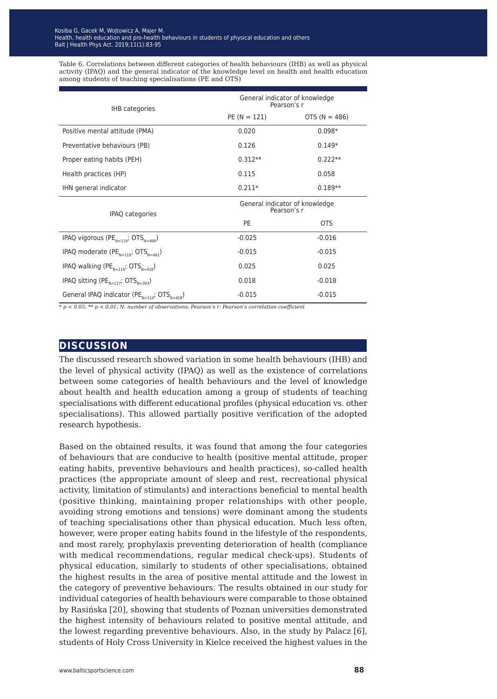Table 6. Correlations between different categories of health behaviours (IHB) as well as physical activity (IPAQ) and the general indicator of the knowledge level on health and health education among students of teaching specialisations (PE and OTS)

| IHB categories                                                 | General indicator of knowledge<br>Pearson's r |                   |  |  |  |
|----------------------------------------------------------------|-----------------------------------------------|-------------------|--|--|--|
|                                                                | $PE (N = 121)$                                | OTS ( $N = 486$ ) |  |  |  |
| Positive mental attitude (PMA)                                 | 0.020                                         | $0.098*$          |  |  |  |
| Preventative behaviours (PB)                                   | 0.126                                         | $0.149*$          |  |  |  |
| Proper eating habits (PEH)                                     | $0.312**$                                     | $0.222**$         |  |  |  |
| Health practices (HP)                                          | 0.115                                         | 0.058             |  |  |  |
| IHN general indicator                                          | $0.211*$                                      | $0.189**$         |  |  |  |
| IPAQ categories                                                | General indicator of knowledge<br>Pearson's r |                   |  |  |  |
|                                                                | PE                                            | <b>OTS</b>        |  |  |  |
| IPAQ vigorous (PE $_{N=119}$ ; OTS $_{N=468}$ )                | $-0.025$                                      | $-0.016$          |  |  |  |
| IPAQ moderate (PE <sub>N=119</sub> ; OTS <sub>N=461</sub> )    | $-0.015$                                      | $-0.015$          |  |  |  |
| IPAQ walking (PE <sub>N=114</sub> ; OTS <sub>N=418</sub> )     | 0.025                                         | 0.025             |  |  |  |
| IPAQ sitting (PE <sub>N=117</sub> ; OTS <sub>N=393</sub> )     | 0.018                                         | $-0.018$          |  |  |  |
| General IPAQ indicator (PE $_{N=114}$ ; OTS <sub>N=418</sub> ) | $-0.015$                                      | $-0.015$          |  |  |  |

*\* p < 0.05; \*\* p < 0.01; N: number of observations; Pearson's r: Pearson's correlation coefficient*

### **discussion**

The discussed research showed variation in some health behaviours (IHB) and the level of physical activity (IPAQ) as well as the existence of correlations between some categories of health behaviours and the level of knowledge about health and health education among a group of students of teaching specialisations with different educational profiles (physical education vs. other specialisations). This allowed partially positive verification of the adopted research hypothesis.

Based on the obtained results, it was found that among the four categories of behaviours that are conducive to health (positive mental attitude, proper eating habits, preventive behaviours and health practices), so-called health practices (the appropriate amount of sleep and rest, recreational physical activity, limitation of stimulants) and interactions beneficial to mental health (positive thinking, maintaining proper relationships with other people, avoiding strong emotions and tensions) were dominant among the students of teaching specialisations other than physical education. Much less often, however, were proper eating habits found in the lifestyle of the respondents, and most rarely, prophylaxis preventing deterioration of health (compliance with medical recommendations, regular medical check-ups). Students of physical education, similarly to students of other specialisations, obtained the highest results in the area of positive mental attitude and the lowest in the category of preventive behaviours. The results obtained in our study for individual categories of health behaviours were comparable to those obtained by Rasińska [20], showing that students of Poznan universities demonstrated the highest intensity of behaviours related to positive mental attitude, and the lowest regarding preventive behaviours. Also, in the study by Palacz [6], students of Holy Cross University in Kielce received the highest values in the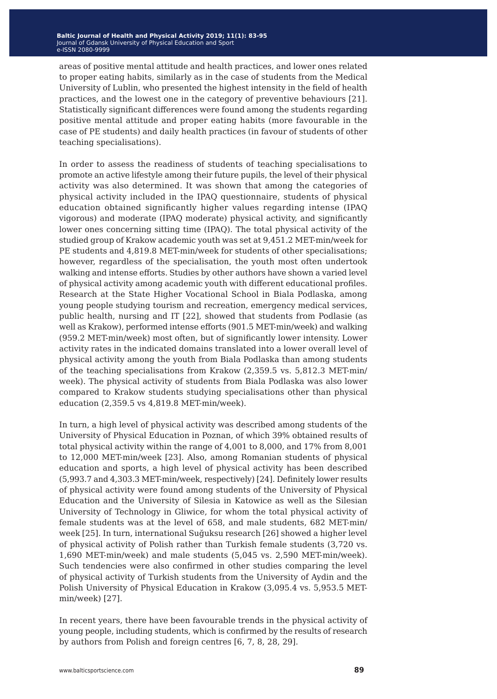areas of positive mental attitude and health practices, and lower ones related to proper eating habits, similarly as in the case of students from the Medical University of Lublin, who presented the highest intensity in the field of health practices, and the lowest one in the category of preventive behaviours [21]. Statistically significant differences were found among the students regarding positive mental attitude and proper eating habits (more favourable in the case of PE students) and daily health practices (in favour of students of other teaching specialisations).

In order to assess the readiness of students of teaching specialisations to promote an active lifestyle among their future pupils, the level of their physical activity was also determined. It was shown that among the categories of physical activity included in the IPAQ questionnaire, students of physical education obtained significantly higher values regarding intense (IPAQ vigorous) and moderate (IPAQ moderate) physical activity, and significantly lower ones concerning sitting time (IPAQ). The total physical activity of the studied group of Krakow academic youth was set at 9,451.2 MET-min/week for PE students and 4,819.8 MET-min/week for students of other specialisations; however, regardless of the specialisation, the youth most often undertook walking and intense efforts. Studies by other authors have shown a varied level of physical activity among academic youth with different educational profiles. Research at the State Higher Vocational School in Biala Podlaska, among young people studying tourism and recreation, emergency medical services, public health, nursing and IT [22], showed that students from Podlasie (as well as Krakow), performed intense efforts (901.5 MET-min/week) and walking (959.2 MET-min/week) most often, but of significantly lower intensity. Lower activity rates in the indicated domains translated into a lower overall level of physical activity among the youth from Biala Podlaska than among students of the teaching specialisations from Krakow (2,359.5 vs. 5,812.3 MET-min/ week). The physical activity of students from Biala Podlaska was also lower compared to Krakow students studying specialisations other than physical education (2,359.5 vs 4,819.8 MET-min/week).

In turn, a high level of physical activity was described among students of the University of Physical Education in Poznan, of which 39% obtained results of total physical activity within the range of 4,001 to 8,000, and 17% from 8,001 to 12,000 MET-min/week [23]. Also, among Romanian students of physical education and sports, a high level of physical activity has been described (5,993.7 and 4,303.3 MET-min/week, respectively) [24]. Definitely lower results of physical activity were found among students of the University of Physical Education and the University of Silesia in Katowice as well as the Silesian University of Technology in Gliwice, for whom the total physical activity of female students was at the level of 658, and male students, 682 MET-min/ week [25]. In turn, international Suğuksu research [26] showed a higher level of physical activity of Polish rather than Turkish female students (3,720 vs. 1,690 MET-min/week) and male students (5,045 vs. 2,590 MET-min/week). Such tendencies were also confirmed in other studies comparing the level of physical activity of Turkish students from the University of Aydin and the Polish University of Physical Education in Krakow (3,095.4 vs. 5,953.5 METmin/week) [27].

In recent years, there have been favourable trends in the physical activity of young people, including students, which is confirmed by the results of research by authors from Polish and foreign centres [6, 7, 8, 28, 29].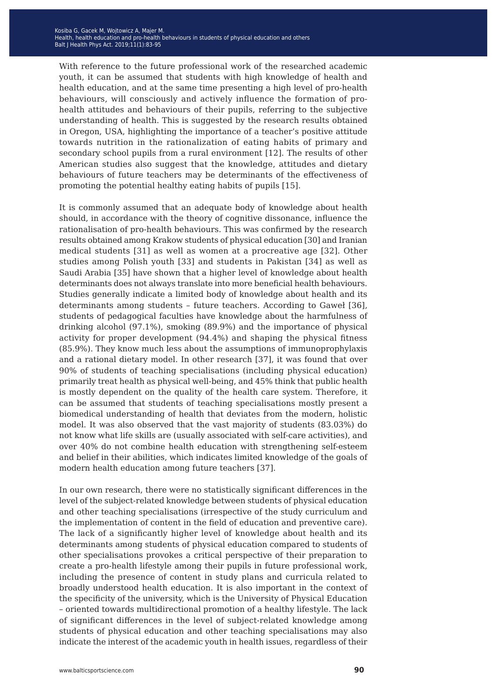With reference to the future professional work of the researched academic youth, it can be assumed that students with high knowledge of health and health education, and at the same time presenting a high level of pro-health behaviours, will consciously and actively influence the formation of prohealth attitudes and behaviours of their pupils, referring to the subjective understanding of health. This is suggested by the research results obtained in Oregon, USA, highlighting the importance of a teacher's positive attitude towards nutrition in the rationalization of eating habits of primary and secondary school pupils from a rural environment [12]. The results of other American studies also suggest that the knowledge, attitudes and dietary behaviours of future teachers may be determinants of the effectiveness of promoting the potential healthy eating habits of pupils [15].

It is commonly assumed that an adequate body of knowledge about health should, in accordance with the theory of cognitive dissonance, influence the rationalisation of pro-health behaviours. This was confirmed by the research results obtained among Krakow students of physical education [30] and Iranian medical students [31] as well as women at a procreative age [32]. Other studies among Polish youth [33] and students in Pakistan [34] as well as Saudi Arabia [35] have shown that a higher level of knowledge about health determinants does not always translate into more beneficial health behaviours. Studies generally indicate a limited body of knowledge about health and its determinants among students – future teachers. According to Gaweł [36], students of pedagogical faculties have knowledge about the harmfulness of drinking alcohol (97.1%), smoking (89.9%) and the importance of physical activity for proper development (94.4%) and shaping the physical fitness (85.9%). They know much less about the assumptions of immunoprophylaxis and a rational dietary model. In other research [37], it was found that over 90% of students of teaching specialisations (including physical education) primarily treat health as physical well-being, and 45% think that public health is mostly dependent on the quality of the health care system. Therefore, it can be assumed that students of teaching specialisations mostly present a biomedical understanding of health that deviates from the modern, holistic model. It was also observed that the vast majority of students (83.03%) do not know what life skills are (usually associated with self-care activities), and over 40% do not combine health education with strengthening self-esteem and belief in their abilities, which indicates limited knowledge of the goals of modern health education among future teachers [37].

In our own research, there were no statistically significant differences in the level of the subject-related knowledge between students of physical education and other teaching specialisations (irrespective of the study curriculum and the implementation of content in the field of education and preventive care). The lack of a significantly higher level of knowledge about health and its determinants among students of physical education compared to students of other specialisations provokes a critical perspective of their preparation to create a pro-health lifestyle among their pupils in future professional work, including the presence of content in study plans and curricula related to broadly understood health education. It is also important in the context of the specificity of the university, which is the University of Physical Education – oriented towards multidirectional promotion of a healthy lifestyle. The lack of significant differences in the level of subject-related knowledge among students of physical education and other teaching specialisations may also indicate the interest of the academic youth in health issues, regardless of their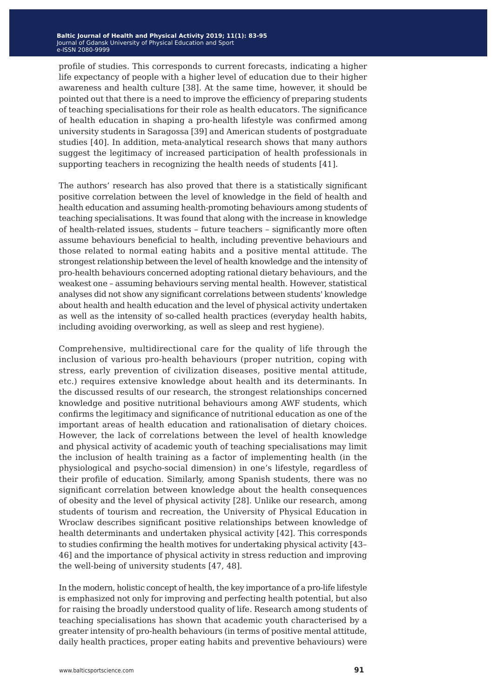profile of studies. This corresponds to current forecasts, indicating a higher life expectancy of people with a higher level of education due to their higher awareness and health culture [38]. At the same time, however, it should be pointed out that there is a need to improve the efficiency of preparing students of teaching specialisations for their role as health educators. The significance of health education in shaping a pro-health lifestyle was confirmed among university students in Saragossa [39] and American students of postgraduate studies [40]. In addition, meta-analytical research shows that many authors suggest the legitimacy of increased participation of health professionals in supporting teachers in recognizing the health needs of students [41].

The authors' research has also proved that there is a statistically significant positive correlation between the level of knowledge in the field of health and health education and assuming health-promoting behaviours among students of teaching specialisations. It was found that along with the increase in knowledge of health-related issues, students – future teachers – significantly more often assume behaviours beneficial to health, including preventive behaviours and those related to normal eating habits and a positive mental attitude. The strongest relationship between the level of health knowledge and the intensity of pro-health behaviours concerned adopting rational dietary behaviours, and the weakest one – assuming behaviours serving mental health. However, statistical analyses did not show any significant correlations between students' knowledge about health and health education and the level of physical activity undertaken as well as the intensity of so-called health practices (everyday health habits, including avoiding overworking, as well as sleep and rest hygiene).

Comprehensive, multidirectional care for the quality of life through the inclusion of various pro-health behaviours (proper nutrition, coping with stress, early prevention of civilization diseases, positive mental attitude, etc.) requires extensive knowledge about health and its determinants. In the discussed results of our research, the strongest relationships concerned knowledge and positive nutritional behaviours among AWF students, which confirms the legitimacy and significance of nutritional education as one of the important areas of health education and rationalisation of dietary choices. However, the lack of correlations between the level of health knowledge and physical activity of academic youth of teaching specialisations may limit the inclusion of health training as a factor of implementing health (in the physiological and psycho-social dimension) in one's lifestyle, regardless of their profile of education. Similarly, among Spanish students, there was no significant correlation between knowledge about the health consequences of obesity and the level of physical activity [28]. Unlike our research, among students of tourism and recreation, the University of Physical Education in Wroclaw describes significant positive relationships between knowledge of health determinants and undertaken physical activity [42]. This corresponds to studies confirming the health motives for undertaking physical activity [43– 46] and the importance of physical activity in stress reduction and improving the well-being of university students [47, 48].

In the modern, holistic concept of health, the key importance of a pro-life lifestyle is emphasized not only for improving and perfecting health potential, but also for raising the broadly understood quality of life. Research among students of teaching specialisations has shown that academic youth characterised by a greater intensity of pro-health behaviours (in terms of positive mental attitude, daily health practices, proper eating habits and preventive behaviours) were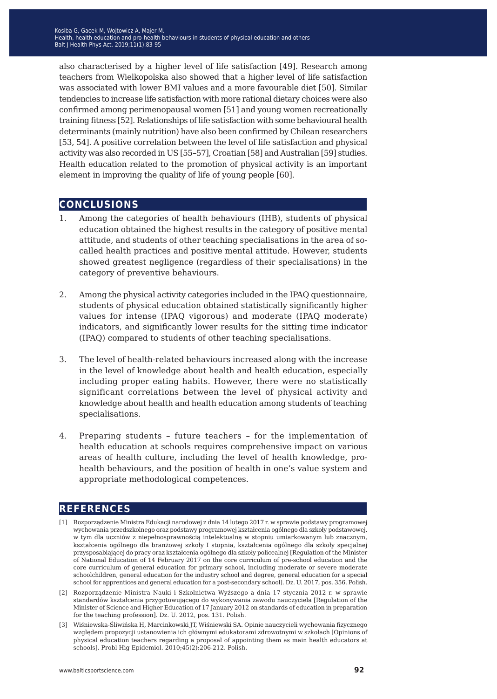also characterised by a higher level of life satisfaction [49]. Research among teachers from Wielkopolska also showed that a higher level of life satisfaction was associated with lower BMI values and a more favourable diet [50]. Similar tendencies to increase life satisfaction with more rational dietary choices were also confirmed among perimenopausal women [51] and young women recreationally training fitness [52]. Relationships of life satisfaction with some behavioural health determinants (mainly nutrition) have also been confirmed by Chilean researchers [53, 54]. A positive correlation between the level of life satisfaction and physical activity was also recorded in US [55–57], Croatian [58] and Australian [59] studies. Health education related to the promotion of physical activity is an important element in improving the quality of life of young people [60].

### **conclusions**

- 1. Among the categories of health behaviours (IHB), students of physical education obtained the highest results in the category of positive mental attitude, and students of other teaching specialisations in the area of socalled health practices and positive mental attitude. However, students showed greatest negligence (regardless of their specialisations) in the category of preventive behaviours.
- 2. Among the physical activity categories included in the IPAQ questionnaire, students of physical education obtained statistically significantly higher values for intense (IPAQ vigorous) and moderate (IPAQ moderate) indicators, and significantly lower results for the sitting time indicator (IPAQ) compared to students of other teaching specialisations.
- 3. The level of health-related behaviours increased along with the increase in the level of knowledge about health and health education, especially including proper eating habits. However, there were no statistically significant correlations between the level of physical activity and knowledge about health and health education among students of teaching specialisations.
- 4. Preparing students future teachers for the implementation of health education at schools requires comprehensive impact on various areas of health culture, including the level of health knowledge, prohealth behaviours, and the position of health in one's value system and appropriate methodological competences.

## **references**

- [1] Rozporządzenie Ministra Edukacji narodowej z dnia 14 lutego 2017 r. w sprawie podstawy programowej wychowania przedszkolnego oraz podstawy programowej kształcenia ogólnego dla szkoły podstawowej, w tym dla uczniów z niepełnosprawnością intelektualną w stopniu umiarkowanym lub znacznym, kształcenia ogólnego dla branżowej szkoły I stopnia, kształcenia ogólnego dla szkoły specjalnej przysposabiającej do pracy oraz kształcenia ogólnego dla szkoły policealnej [Regulation of the Minister of National Education of 14 February 2017 on the core curriculum of pre-school education and the core curriculum of general education for primary school, including moderate or severe moderate schoolchildren, general education for the industry school and degree, general education for a special school for apprentices and general education for a post-secondary school]. Dz. U. 2017, pos. 356. Polish.
- [2] Rozporządzenie Ministra Nauki i Szkolnictwa Wyższego a dnia 17 stycznia 2012 r. w sprawie standardów kształcenia przygotowującego do wykonywania zawodu nauczyciela [Regulation of the Minister of Science and Higher Education of 17 January 2012 on standards of education in preparation for the teaching profession]. Dz. U. 2012, pos. 131. Polish.
- [3] Wiśniewska-Śliwińska H, Marcinkowski JT, Wiśniewski SA. Opinie nauczycieli wychowania fizycznego względem propozycji ustanowienia ich głównymi edukatorami zdrowotnymi w szkołach [Opinions of physical education teachers regarding a proposal of appointing them as main health educators at schools]. Probl Hig Epidemiol. 2010;45(2):206-212. Polish.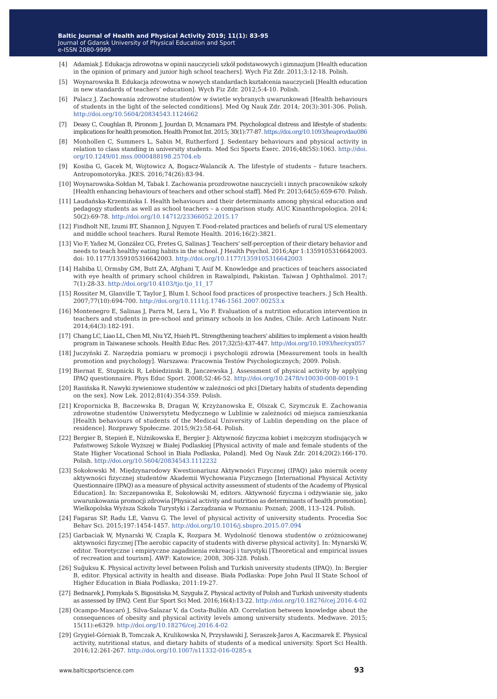- [4] Adamiak J. Edukacja zdrowotna w opinii nauczycieli szkół podstawowych i gimnazjum [Health education in the opinion of primary and junior high school teachers]. Wych Fiz Zdr. 2011;3:12-18. Polish.
- [5] Woynarowska B. Edukacja zdrowotna w nowych standardach kształcenia nauczycieli [Health education in new standards of teachers' education]. Wych Fiz Zdr. 2012;5:4-10. Polish.
- [6] Palacz J. Zachowania zdrowotne studentów w świetle wybranych uwarunkowań [Health behaviours of students in the light of the selected conditions]. Med Og Nauk Zdr. 2014; 20(3):301-306. Polish. <http://doi.org/10.5604/20834543.1124662>
- [7] Deasy C, Coughlan B, Pironom J, Jourdan D, Mcnamara PM. Psychological distress and lifestyle of students: implications for health promotion. Health Promot Int. 2015; 30(1):77-87.<https://doi.org/10.1093/heapro/dau086>
- [8] Monhollen C, Summers L, Sabin M, Rutherford J. Sedentary behaviours and physical activity in relation to class standing in university students. Med Sci Sports Exerc. 2016;48(5S):1063. [http://doi.](http://doi.org/10.1249/01.mss.0000488198.25704.eb) [org/10.1249/01.mss.0000488198.25704.eb](http://doi.org/10.1249/01.mss.0000488198.25704.eb)
- [9] Kosiba G, Gacek M, Wojtowicz A, Bogacz-Walancik A. The lifestyle of students future teachers. Antropomotoryka. JKES. 2016;74(26):83-94.
- [10] Woynarowska-Sołdan M, Tabak I. Zachowania prozdrowotne nauczycieli i innych pracowników szkoły [Health enhancing behaviours of teachers and other school staff]. Med Pr. 2013;64(5):659-670. Polish.
- [11] Laudańska-Krzemińska I. Health behaviours and their determinants among physical education and pedagogy students as well as school teachers – a comparison study. AUC Kinanthropologica. 2014; 50(2):69-78[. http://doi.org/10.14712/23366052.2015.17](http://doi.org/10.14712/23366052.2015.17)
- [12] Findholt NE, Izumi BT, Shannon J, Nguyen T. Food-related practices and beliefs of rural US elementary and middle school teachers. Rural Remote Health. 2016;16(2):3821.
- [13] Vio F, Yañez M, González CG, Fretes G, Salinas J. Teachers' self-perception of their dietary behavior and needs to teach healthy eating habits in the school. J Health Psychol. 2016;Apr 1:1359105316642003. doi: 10.1177/1359105316642003.<http://doi.org/10.1177/1359105316642003>
- [14] Habiba U, Ormsby GM, Butt ZA, Afghani T, Asif M. Knowledge and practices of teachers associated with eye health of primary school children in Rawalpindi, Pakistan. Taiwan J Ophthalmol. 2017; 7(1):28-33. [http://doi.org/10.4103/tjo.tjo\\_11\\_17](http://doi.org/10.4103/tjo.tjo_11_17)
- [15] Rossiter M, Glanville T, Taylor J, Blum I. School food practices of prospective teachers. J Sch Health. 2007;77(10):694-700. <http://doi.org/10.1111/j.1746-1561.2007.00253.x>
- [16] Montenegro E, Salinas J, Parra M, Lera L, Vio F. Evaluation of a nutrition education intervention in teachers and students in pre-school and primary schools in los Andes, Chile. Arch Latinoam Nutr. 2014;64(3):182-191.
- [17] Chang LC, Liao LL, Chen MI, Niu YZ, Hsieh PL. Strengthening teachers' abilities to implement a vision health program in Taiwanese schools. Health Educ Res. 2017;32(5):437-447. [http://doi.org/10.1093/her/cyx057](http://doi.org/10.1093/her/cyx057
)
- [18] Juczyński Z. Narzędzia pomiaru w promocji i psychologii zdrowia [Measurement tools in health promotion and psychology]. Warszawa: Pracownia Testów Psychologicznych; 2009. Polish.
- [19] Biernat E, Stupnicki R, Lebiedzinski B, Janczewska J. Assessment of physical activity by applying IPAQ questionnaire. Phys Educ Sport. 2008;52:46-52. <http://doi.org/10.2478/v10030-008-0019-1>
- [20] Rasińska R. Nawyki żywieniowe studentów w zależności od płci [Dietary habits of students depending on the sex]. Now Lek. 2012;81(4):354-359. Polish.
- [21] Kropornicka B, Baczewska B, Dragan W, Krzyżanowska E, Olszak C, Szymczuk E. Zachowania zdrowotne studentów Uniwersytetu Medycznego w Lublinie w zależności od miejsca zamieszkania [Health behaviours of students of the Medical University of Lublin depending on the place of residence]. Rozprawy Społeczne. 2015;9(2):58-64. Polish.
- [22] Bergier B, Stepień E, Niźnikowska E, Bergier J: Aktywność fizyczna kobiet i mężczyzn studiujących w Państwowej Szkole Wyższej w Białej Podlaskiej [Physical activity of male and female students of the State Higher Vocational School in Biała Podlaska, Poland]. Med Og Nauk Zdr. 2014;20(2):166-170. Polish.<http://doi.org/10.5604/20834543.1112232>
- [23] Sokołowski M. Międzynarodowy Kwestionariusz Aktywności Fizycznej (IPAQ) jako miernik oceny aktywności fizycznej studentów Akademii Wychowania Fizycznego [International Physical Activity Questionnaire (IPAQ) as a measure of physical activity assessment of students of the Academy of Physical Education]. In: Szczepanowska E, Sokołowski M, editors. Aktywność fizyczna i odżywianie się, jako uwarunkowania promocji zdrowia [Physical activity and nutrition as determinants of health promotion]. Wielkopolska Wyższa Szkoła Turystyki i Zarządzania w Poznaniu: Poznań; 2008, 113–124. Polish.
- [24] Fagaras SP, Radu LE, Vanvu G. The level of physical activity of university students. Procedia Soc Behav Sci. 2015;197:1454-1457. <http://doi.org/10.1016/j.sbspro.2015.07.094>
- [25] Garbaciak W, Mynarski W, Czapla K, Rozpara M. Wydolność tlenowa studentów o zróżnicowanej aktywności fizycznej [The aerobic capacity of students with diverse physical activity]. In: Mynarski W, editor. Teoretyczne i empiryczne zagadnienia rekreacji i turystyki [Theoretical and empirical issues of recreation and tourism]. AWF: Katowice; 2008, 306-328. Polish.
- [26] Suğuksu K. Physical activity level between Polish and Turkish university students (IPAQ). In: Bergier B, editor. Physical activity in health and disease. Biała Podlaska: Pope John Paul II State School of Higher Education in Biała Podlaska; 2011:19-27.
- [27] Bednarek J, Pomykała S, Bigosińska M, Szyguła Z. Physical activity of Polish and Turkish university students as assessed by IPAQ. Cent Eur Sport Sci Med. 2016;16(4):13-22. <http://doi.org/10.18276/cej.2016.4-02>
- [28] Ocampo-Mascaró J, Silva-Salazar V, da Costa-Bullón AD. Correlation between knowledge about the consequences of obesity and physical activity levels among university students. Medwave. 2015; 15(11):e6329. <http://doi.org/10.18276/cej.2016.4-02>
- [29] Grygiel-Górniak B, Tomczak A, Krulikowska N, Przysławski J, Seraszek-Jaros A, Kaczmarek E. Physical activity, nutritional status, and dietary habits of students of a medical university. Sport Sci Health. 2016;12:261-267. <http://doi.org/10.1007/s11332-016-0285-x>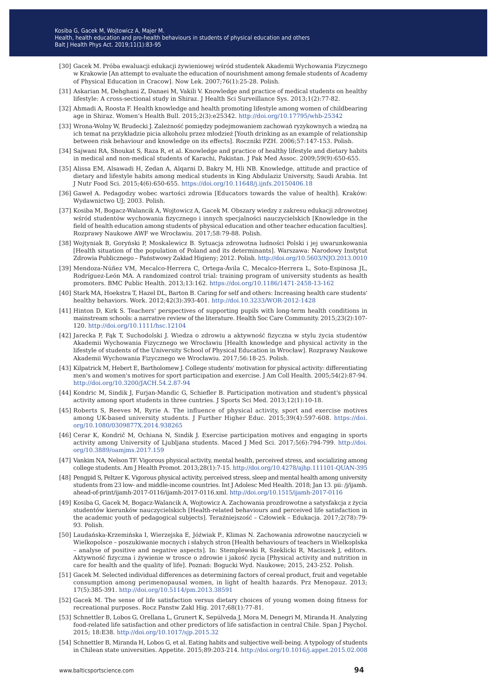- [30] Gacek M. Próba ewaluacji edukacji żywieniowej wśród studentek Akademii Wychowania Fizycznego w Krakowie [An attempt to evaluate the education of nourishment among female students of Academy of Physical Education in Cracow]. Now Lek. 2007;76(1):25-28. Polish.
- [31] Askarian M, Dehghani Z, Danaei M, Vakili V. Knowledge and practice of medical students on healthy lifestyle: A cross-sectional study in Shiraz. J Health Sci Surveillance Sys. 2013;1(2):77-82.
- [32] Ahmadi A, Roosta F. Health knowledge and health promoting lifestyle among women of childbearing age in Shiraz. Women's Health Bull. 2015;2(3):e25342. <http://doi.org/10.17795/whb-25342>
- [33] Wrona-Wolny W, Brudecki J. Zależność pomiędzy podejmowaniem zachowań ryzykownych a wiedzą na ich temat na przykładzie picia alkoholu przez młodzież [Youth drinking as an example of relationship between risk behaviour and knowledge on its effects]. Roczniki PZH. 2006;57:147-153. Polish.
- [34] Sajwani RA, Shoukat S, Raza R, et al. Knowledge and practice of healthy lifestyle and dietary habits in medical and non-medical students of Karachi, Pakistan. J Pak Med Assoc. 2009;59(9):650-655.
- [35] Alissa EM, Alsawadi H, Zedan A, Alqarni D, Bakry M, Hli NB. Knowledge, attitude and practice of dietary and lifestyle habits among medical students in King Abdulaziz University, Saudi Arabia. Int J Nutr Food Sci. 2015;4(6):650-655. <https://doi.org/10.11648/j.ijnfs.20150406.18>
- [36] Gaweł A. Pedagodzy wobec wartości zdrowia [Educators towards the value of health]. Kraków: Wydawnictwo UJ; 2003. Polish.
- [37] Kosiba M, Bogacz-Walancik A, Wojtowicz A, Gacek M. Obszary wiedzy z zakresu edukacji zdrowotnej wśród studentów wychowania fizycznego i innych specjalności nauczycielskich [Knowledge in the field of health education among students of physical education and other teacher education faculties]. Rozprawy Naukowe AWF we Wrocławiu. 2017;58:79-88. Polish.
- [38] Wojtyniak B, Goryński P, Moskalewicz B. Sytuacja zdrowotna ludności Polski i jej uwarunkowania [Health situation of the population of Poland and its determinants]. Warszawa: Narodowy Instytut Zdrowia Publicznego – Państwowy Zakład Higieny; 2012. Polish. <http://doi.org/10.5603/NJO.2013.0010>
- [39] Mendoza-Núñez VM, Mecalco-Herrera C, Ortega-Ávila C, Mecalco-Herrera L, Soto-Espinosa JL, Rodríguez-León MA. A randomized control trial: training program of university students as health promoters. BMC Public Health. 2013;13:162. <https://doi.org/10.1186/1471-2458-13-162>
- [40] Stark MA, Hoekstra T, Hazel DL, Barton B. Caring for self and others: Increasing health care students' healthy behaviors. Work. 2012;42(3):393-401[. http://doi.10.3233/WOR-2012-1428](http://doi.10.3233/WOR-2012-1428)
- [41] Hinton D, Kirk S. Teachers' perspectives of supporting pupils with long-term health conditions in mainstream schools: a narrative review of the literature. Health Soc Care Community. 2015;23(2):107- 120. <http://doi.org/10.1111/hsc.12104>
- [42] Jarecka P, Fąk T, Suchodolski J. Wiedza o zdrowiu a aktywność fizyczna w stylu życia studentów Akademii Wychowania Fizycznego we Wrocławiu [Health knowledge and physical activity in the lifestyle of students of the University School of Physical Education in Wrocław]. Rozprawy Naukowe Akademii Wychowania Fizycznego we Wrocławiu. 2017;56:18-25. Polish.
- [43] Kilpatrick M, Hebert E, Bartholomew J. College students' motivation for physical activity: differentiating men's and women's motives for sport participation and exercise. J Am Coll Health. 2005;54(2):87-94. <http://doi.org/10.3200/JACH.54.2.87-94>
- [44] Kondric M, Sindik J, Furjan-Mandic G, Schiefler B. Participation motivation and student's physical activity among sport students in three cuntries. J Sports Sci Med. 2013;12(1):10-18.
- [45] Roberts S, Reeves M, Ryrie A. The influence of physical activity, sport and exercise motives among UK-based university students. J Further Higher Educ. 2015;39(4):597-608. [https://doi.](https://doi.org/10.1080/0309877X.2014.938265) [org/10.1080/0309877X.2014.938265](https://doi.org/10.1080/0309877X.2014.938265)
- [46] Cerar K, Kondrič M, Ochiana N, Sindik J. Exercise participation motives and engaging in sports activity among University of Ljubljana students. Maced J Med Sci. 2017;5(6):794-799. [http://doi.](http://doi.org/10.3889/oamjms.2017.159) [org/10.3889/oamjms.2017.159](http://doi.org/10.3889/oamjms.2017.159)
- [47] Vankim NA, Nelson TF. Vigorous physical activity, mental health, perceived stress, and socializing among college students. Am J Health Promot. 2013;28(1):7-15.<http://doi.org/10.4278/ajhp.111101-QUAN-395>
- [48] Pengpid S, Peltzer K. Vigorous physical activity, perceived stress, sleep and mental health among university students from 23 low- and middle-income countries. Int J Adolesc Med Health. 2018; Jan 13. pii: /j/ijamh. ahead-of-print/ijamh-2017-0116/ijamh-2017-0116.xml. [http://doi.org/10.1515/ijamh-2017-0116](http://doi.org/10.1515/ijamh-2017-0116
)
- [49] Kosiba G, Gacek M, Bogacz-Walancik A, Wojtowicz A. Zachowania prozdrowotne a satysfakcja z życia studentów kierunków nauczycielskich [Health-related behaviours and perceived life satisfaction in the academic youth of pedagogical subjects]. Teraźniejszość – Człowiek – Edukacja. 2017;2(78):79- 93. Polish.
- [50] Laudańska-Krzemińska I, Wierzejska E, Jóźwiak P., Klimas N. Zachowania zdrowotne nauczycieli w Wielkopolsce – poszukiwanie mocnych i słabych stron [Health behaviours of teachers in Wielkoplska – analyse of positive and negative aspects]. In: Stemplewski R, Szeklicki R, Maciszek J, editors. Aktywność fizyczna i żywienie w trosce o zdrowie i jakość życia [Physical activity and nutrition in care for health and the quality of life]. Poznań: Bogucki Wyd. Naukowe; 2015, 243-252. Polish.
- [51] Gacek M. Selected individual differences as determining factors of cereal product, fruit and vegetable consumption among perimenopausal women, in light of health hazards. Prz Menopauz. 2013; 17(5):385-391. <http://doi.org/10.5114/pm.2013.38591>
- [52] Gacek M. The sense of life satisfaction versus dietary choices of young women doing fitness for recreational purposes. Rocz Panstw Zakl Hig. 2017;68(1):77-81.
- [53] Schnettler B, Lobos G, Orellana L, Grunert K, Sepúlveda J, Mora M, Denegri M, Miranda H. Analyzing food-related life satisfaction and other predictors of life satisfaction in central Chile. Span J Psychol. 2015; 18:E38.<http://doi.org/10.1017/sjp.2015.32>
- [54] Schnettler B, Miranda H, Lobos G, et al. Eating habits and subjective well-being. A typology of students in Chilean state universities. Appetite. 2015;89:203-214. <http://doi.org/10.1016/j.appet.2015.02.008>